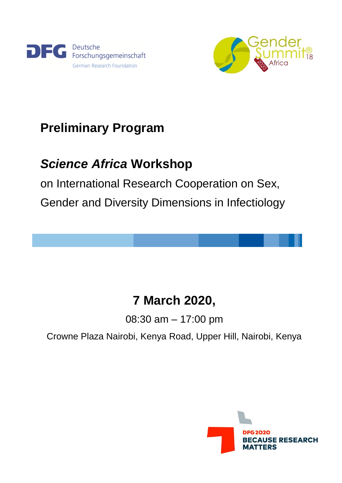



# **Preliminary Program**

# *Science Africa* **Workshop**

on International Research Cooperation on Sex, Gender and Diversity Dimensions in Infectiology

# **7 March 2020,**

08:30 am – 17:00 pm

Crowne Plaza Nairobi, Kenya Road, Upper Hill, Nairobi, Kenya

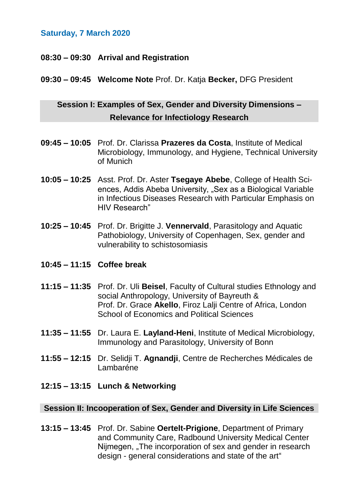## **Saturday, 7 March 2020**

## **08:30 – 09:30 Arrival and Registration**

## **09:30 – 09:45 Welcome Note** Prof. Dr. Katja **Becker,** DFG President

# **Session I: Examples of Sex, Gender and Diversity Dimensions – Relevance for Infectiology Research**

- **09:45 – 10:05** Prof. Dr. Clarissa **Prazeres da Costa**, Institute of Medical Microbiology, Immunology, and Hygiene, Technical University of Munich
- **10:05 – 10:25** Asst. Prof. Dr. Aster **Tsegaye Abebe**, College of Health Sciences, Addis Abeba University, "Sex as a Biological Variable in Infectious Diseases Research with Particular Emphasis on HIV Research"
- **10:25 – 10:45** Prof. Dr. Brigitte J. **Vennervald**, Parasitology and Aquatic Pathobiology, University of Copenhagen, Sex, gender and vulnerability to schistosomiasis
- **10:45 – 11:15 Coffee break**
- **11:15 – 11:35** Prof. Dr. Uli **Beisel**, Faculty of Cultural studies Ethnology and social Anthropology, University of Bayreuth & Prof. Dr. Grace **Akello**, Firoz Lalji Centre of Africa, London School of Economics and Political Sciences
- **11:35 – 11:55** Dr. Laura E. **Layland-Heni**, Institute of Medical Microbiology, Immunology and Parasitology, University of Bonn
- **11:55 – 12:15** Dr. Selidji T. **Agnandji**, Centre de Recherches Médicales de Lambaréne
- **12:15 – 13:15 Lunch & Networking**

### **Session II: Incooperation of Sex, Gender and Diversity in Life Sciences**

**13:15 – 13:45** Prof. Dr. Sabine **Oertelt-Prigione**, Department of Primary and Community Care, Radbound University Medical Center Nijmegen, "The incorporation of sex and gender in research design - general considerations and state of the art"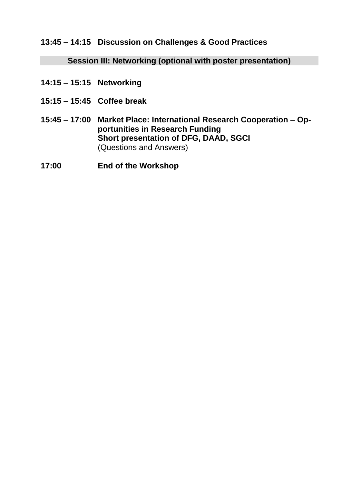**13:45 – 14:15 Discussion on Challenges & Good Practices**

**Session III: Networking (optional with poster presentation)**

- **14:15 – 15:15 Networking**
- **15:15 – 15:45 Coffee break**
- **15:45 – 17:00 Market Place: International Research Cooperation – Opportunities in Research Funding Short presentation of DFG, DAAD, SGCI** (Questions and Answers)
- **17:00 End of the Workshop**